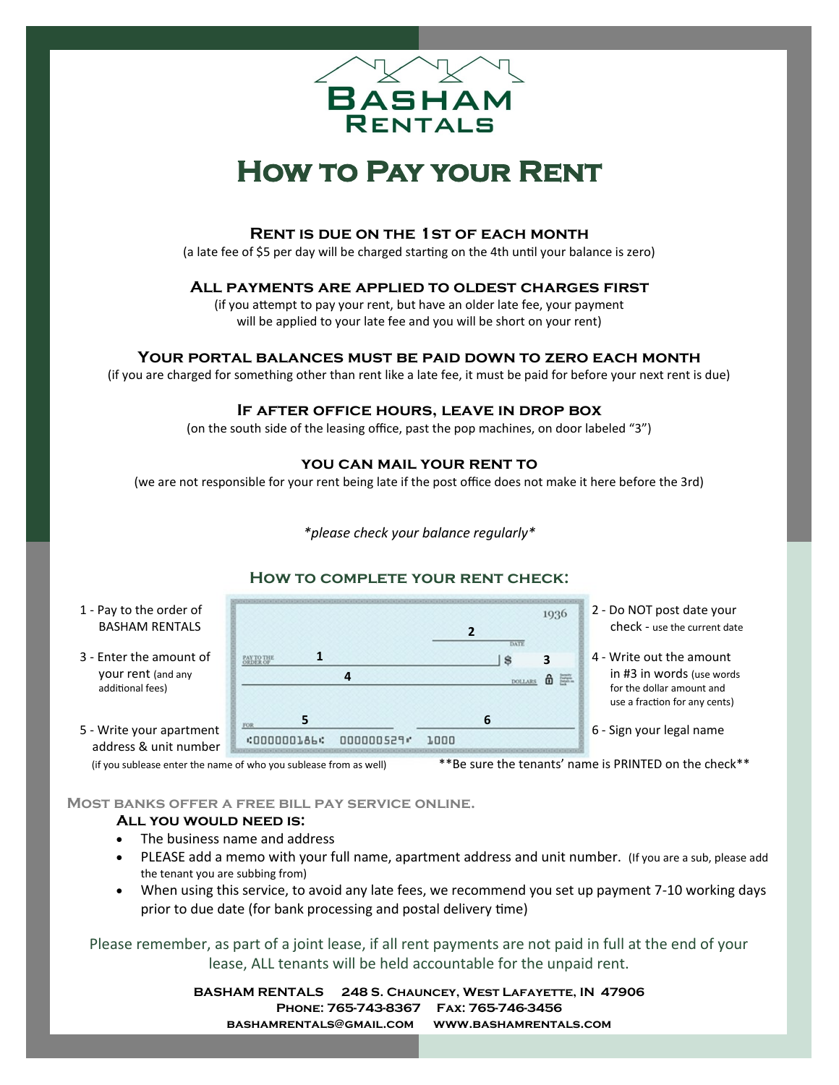

# **How to Pay your Rent**

### **Rent is due on the 1st of each month**

(a late fee of \$5 per day will be charged starting on the 4th until your balance is zero)

## **All payments are applied to oldest charges first**

(if you attempt to pay your rent, but have an older late fee, your payment will be applied to your late fee and you will be short on your rent)

### **Your portal balances must be paid down to zero each month**

(if you are charged for something other than rent like a late fee, it must be paid for before your next rent is due)

### **If after office hours, leave in drop box**

(on the south side of the leasing office, past the pop machines, on door labeled "3")

### **you can mail your rent to**

(we are not responsible for your rent being late if the post office does not make it here before the 3rd)

*\*please check your balance regularly\**

### **How to complete your rent check:**



**Most banks offer a free bill pay service online.**

#### **All you would need is:**

- The business name and address
- PLEASE add a memo with your full name, apartment address and unit number. (If you are a sub, please add the tenant you are subbing from)
- When using this service, to avoid any late fees, we recommend you set up payment 7-10 working days prior to due date (for bank processing and postal delivery time)

Please remember, as part of a joint lease, if all rent payments are not paid in full at the end of your lease, ALL tenants will be held accountable for the unpaid rent.

> **BASHAM RENTALS 248 S. Chauncey, West Lafayette, IN 47906 Phone: 765-743-8367 Fax: 765-746-3456 bashamrentals@gmail.com www.bashamrentals.com**